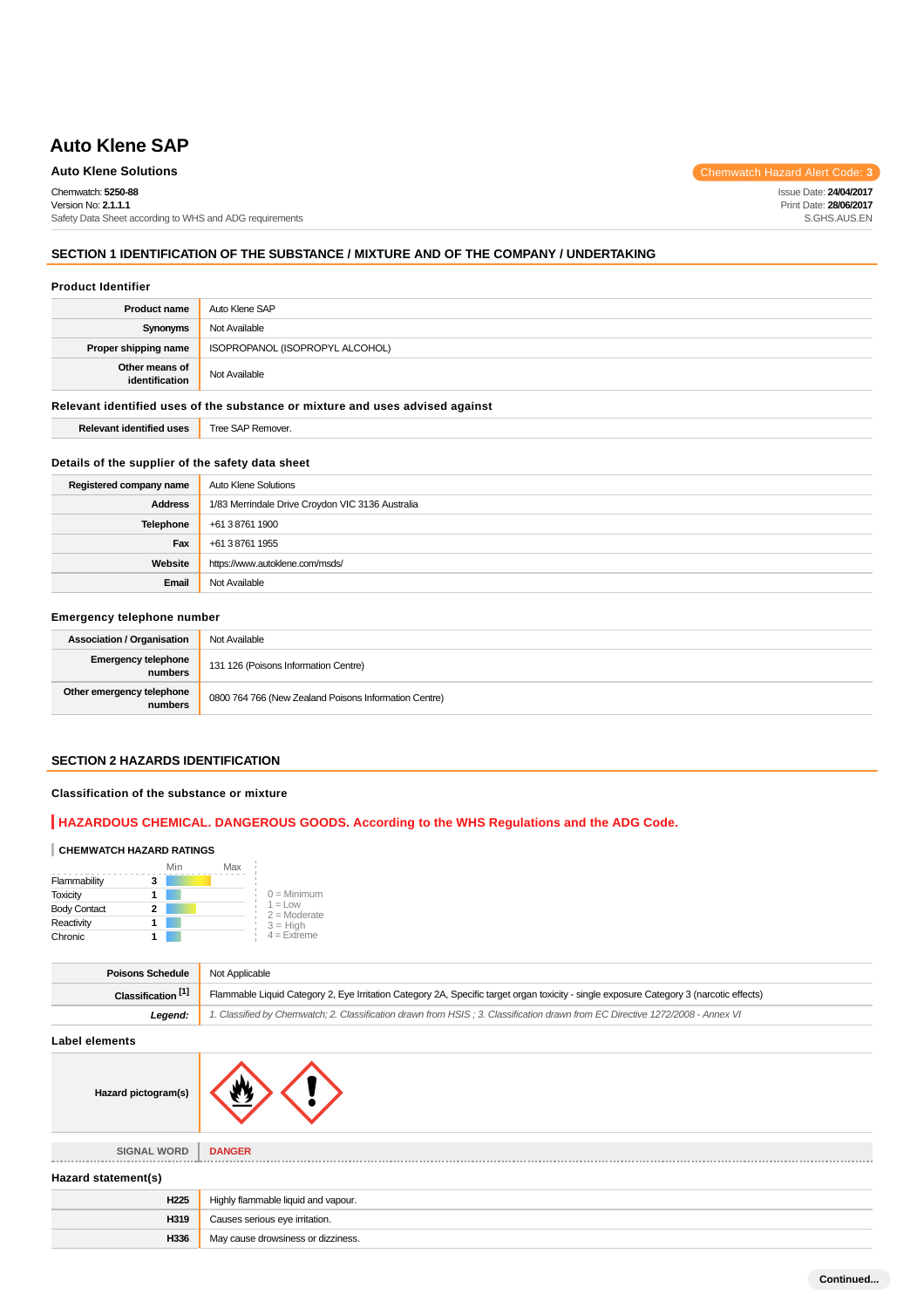# **Auto Klene SAP**

**Auto Klene Solutions** Chemwatch Hazard Alert Code: 3

Chemwatch: **5250-88** Version No: **2.1.1.1** Safety Data Sheet according to WHS and ADG requirements Issue Date: **24/04/2017** Print Date: **28/06/2017** S.GHS.AUS.EN

## **SECTION 1 IDENTIFICATION OF THE SUBSTANCE / MIXTURE AND OF THE COMPANY / UNDERTAKING**

#### **Product Identifier**

| <b>Product name</b>                                                           | Auto Klene SAP                  |  |
|-------------------------------------------------------------------------------|---------------------------------|--|
| Synonyms                                                                      | Not Available                   |  |
| Proper shipping name                                                          | ISOPROPANOL (ISOPROPYL ALCOHOL) |  |
| Other means of<br>identification                                              | Not Available                   |  |
| Relevant identified uses of the substance or mixture and uses advised against |                                 |  |
| <b>Relevant identified uses</b>                                               | Tree SAP Remover.               |  |

#### **Details of the supplier of the safety data sheet**

| Registered company name | <b>Auto Klene Solutions</b>                      |  |
|-------------------------|--------------------------------------------------|--|
| <b>Address</b>          | 1/83 Merrindale Drive Croydon VIC 3136 Australia |  |
| <b>Telephone</b>        | +61 3 8761 1900                                  |  |
| Fax                     | +61 3 8761 1955                                  |  |
| Website                 | https://www.autoklene.com/msds/                  |  |
| Email                   | Not Available                                    |  |

### **Emergency telephone number**

| <b>Association / Organisation</b>     | Not Available                                         |
|---------------------------------------|-------------------------------------------------------|
| <b>Emergency telephone</b><br>numbers | 131 126 (Poisons Information Centre)                  |
| Other emergency telephone<br>numbers  | 0800 764 766 (New Zealand Poisons Information Centre) |

## **SECTION 2 HAZARDS IDENTIFICATION**

## **Classification of the substance or mixture**

## **HAZARDOUS CHEMICAL. DANGEROUS GOODS. According to the WHS Regulations and the ADG Code.**

#### **CHEMWATCH HAZARD RATINGS**

|                     | Min | Max |                              |
|---------------------|-----|-----|------------------------------|
| Flammability        | 3   |     |                              |
| <b>Toxicity</b>     |     |     | $0 =$ Minimum                |
| <b>Body Contact</b> | 2   |     | $1 = 1$ ow<br>$2 =$ Moderate |
| Reactivity          |     |     | $3 = High$                   |
| Chronic             |     |     | $4 =$ Extreme                |

| <b>Poisons Schedule</b>       | Not Applicable                                                                                                                          |  |
|-------------------------------|-----------------------------------------------------------------------------------------------------------------------------------------|--|
| Classification <sup>[1]</sup> | Flammable Liquid Category 2, Eye Irritation Category 2A, Specific target organ toxicity - single exposure Category 3 (narcotic effects) |  |
| Leaend:                       | 1. Classified by Chemwatch; 2. Classification drawn from HSIS; 3. Classification drawn from EC Directive 1272/2008 - Annex VI           |  |

#### **Label elements**

**SIGNAL WORD DANGER**

## **Hazard statement(s)**

| $na$ cara statement(s) |                                     |  |
|------------------------|-------------------------------------|--|
| H <sub>225</sub>       | Highly flammable liquid and vapour. |  |
| H319                   | Causes serious eye irritation.      |  |
| H336                   | May cause drowsiness or dizziness.  |  |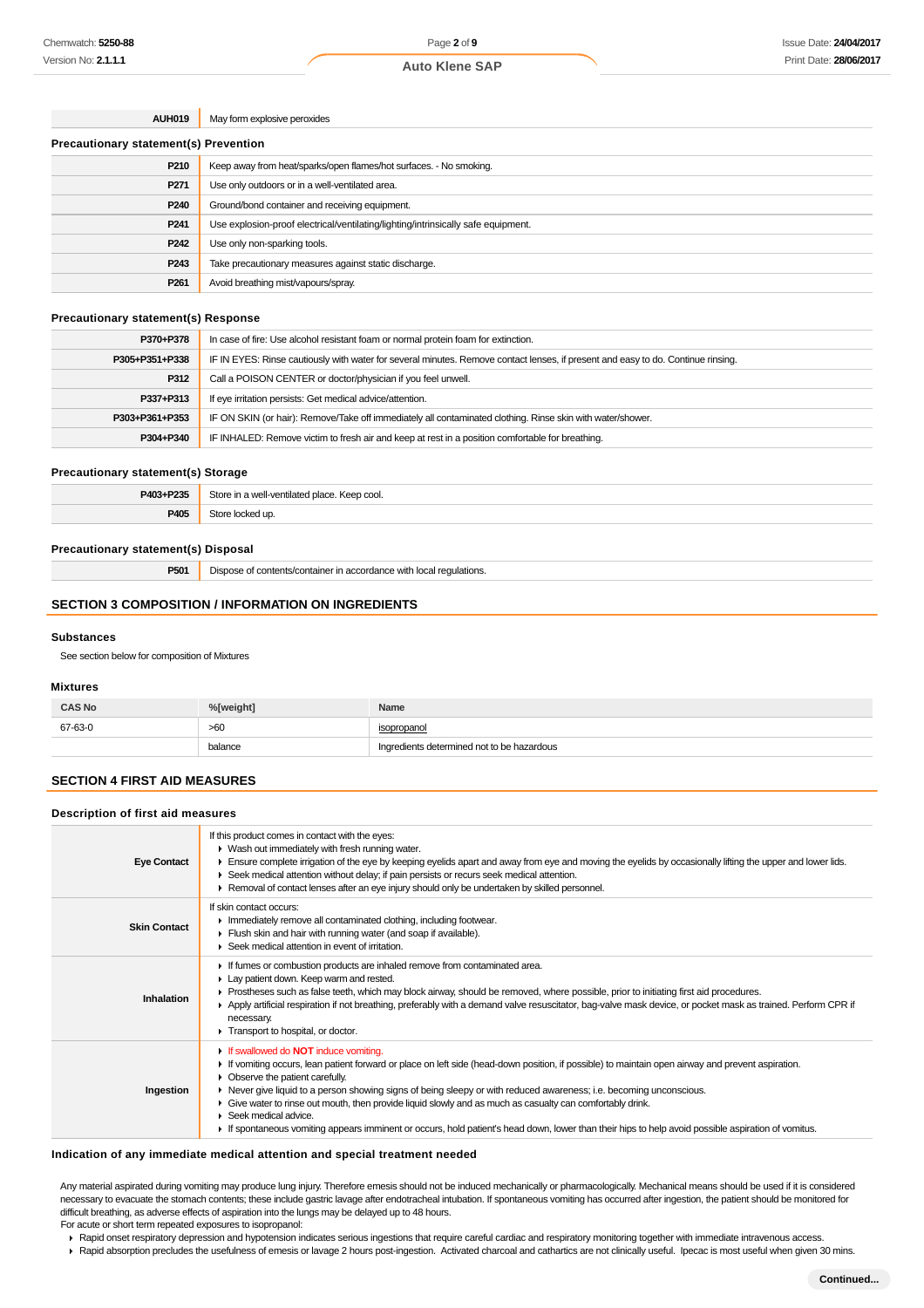**Auto Klene SAP**

| <b>AUH019</b> | May form explosive peroxides |
|---------------|------------------------------|
|               |                              |

| <b>Precautionary statement(s) Prevention</b> |                                                                                   |  |
|----------------------------------------------|-----------------------------------------------------------------------------------|--|
| P210                                         | Keep away from heat/sparks/open flames/hot surfaces. - No smoking.                |  |
| P <sub>271</sub>                             | Use only outdoors or in a well-ventilated area.                                   |  |
| P <sub>240</sub>                             | Ground/bond container and receiving equipment.                                    |  |
| P <sub>241</sub>                             | Use explosion-proof electrical/ventilating/lighting/intrinsically safe equipment. |  |
| P242                                         | Use only non-sparking tools.                                                      |  |
| P243                                         | Take precautionary measures against static discharge.                             |  |
| P <sub>261</sub>                             | Avoid breathing mist/vapours/spray.                                               |  |

#### **Precautionary statement(s) Response**

| P370+P378      | In case of fire: Use alcohol resistant foam or normal protein foam for extinction.                                               |  |
|----------------|----------------------------------------------------------------------------------------------------------------------------------|--|
| P305+P351+P338 | IF IN EYES: Rinse cautiously with water for several minutes. Remove contact lenses, if present and easy to do. Continue rinsing. |  |
| P312           | Call a POISON CENTER or doctor/physician if you feel unwell.                                                                     |  |
| P337+P313      | If eye irritation persists: Get medical advice/attention.                                                                        |  |
| P303+P361+P353 | IF ON SKIN (or hair): Remove/Take off immediately all contaminated clothing. Rinse skin with water/shower.                       |  |
| P304+P340      | IF INHALED: Remove victim to fresh air and keep at rest in a position comfortable for breathing.                                 |  |

#### **Precautionary statement(s) Storage**

| P403+P235 | 2t∩rc<br>. Keep cool.<br>-ventilated place.<br>14/21<br>$.7$ we $\sim$ |  |
|-----------|------------------------------------------------------------------------|--|
| P405      | $-1.7$<br>'ur                                                          |  |

#### **Precautionary statement(s) Disposal**

**P501** Dispose of contents/container in accordance with local regulations.

## **SECTION 3 COMPOSITION / INFORMATION ON INGREDIENTS**

#### **Substances**

See section below for composition of Mixtures

## **Mixtures**

| <b>CAS No</b> | %[weight] | Name                                       |  |
|---------------|-----------|--------------------------------------------|--|
| 67-63-0       | >60       | isopropanol                                |  |
|               | balance   | Ingredients determined not to be hazardous |  |

## **SECTION 4 FIRST AID MEASURES**

#### **Description of first aid measures**

| <b>Eye Contact</b>  | If this product comes in contact with the eyes:<br>• Wash out immediately with fresh running water.<br>Ensure complete irrigation of the eye by keeping eyelids apart and away from eye and moving the eyelids by occasionally lifting the upper and lower lids.<br>► Seek medical attention without delay; if pain persists or recurs seek medical attention.<br>► Removal of contact lenses after an eye injury should only be undertaken by skilled personnel.                                                                                                                                                                                                |
|---------------------|------------------------------------------------------------------------------------------------------------------------------------------------------------------------------------------------------------------------------------------------------------------------------------------------------------------------------------------------------------------------------------------------------------------------------------------------------------------------------------------------------------------------------------------------------------------------------------------------------------------------------------------------------------------|
| <b>Skin Contact</b> | If skin contact occurs:<br>Inmediately remove all contaminated clothing, including footwear.<br>Flush skin and hair with running water (and soap if available).<br>▶ Seek medical attention in event of irritation.                                                                                                                                                                                                                                                                                                                                                                                                                                              |
| Inhalation          | If fumes or combustion products are inhaled remove from contaminated area.<br>Lay patient down. Keep warm and rested.<br>► Prostheses such as false teeth, which may block airway, should be removed, where possible, prior to initiating first aid procedures.<br>▶ Apply artificial respiration if not breathing, preferably with a demand valve resuscitator, bag-valve mask device, or pocket mask as trained. Perform CPR if<br>necessary.<br>Transport to hospital, or doctor.                                                                                                                                                                             |
| Ingestion           | If swallowed do <b>NOT</b> induce vomiting.<br>If vomiting occurs, lean patient forward or place on left side (head-down position, if possible) to maintain open airway and prevent aspiration.<br>Observe the patient carefully.<br>٠<br>► Never give liquid to a person showing signs of being sleepy or with reduced awareness; i.e. becoming unconscious.<br>• Give water to rinse out mouth, then provide liquid slowly and as much as casualty can comfortably drink.<br>$\cdot$ Seek medical advice.<br>If spontaneous vomiting appears imminent or occurs, hold patient's head down, lower than their hips to help avoid possible aspiration of vomitus. |

#### **Indication of any immediate medical attention and special treatment needed**

Any material aspirated during vomiting may produce lung injury. Therefore emesis should not be induced mechanically or pharmacologically. Mechanical means should be used if it is considered necessary to evacuate the stomach contents; these include gastric lavage after endotracheal intubation. If spontaneous vomiting has occurred after ingestion, the patient should be monitored for difficult breathing, as adverse effects of aspiration into the lungs may be delayed up to 48 hours.

For acute or short term repeated exposures to isopropanol:

▶ Rapid onset respiratory depression and hypotension indicates serious ingestions that require careful cardiac and respiratory monitoring together with immediate intravenous access. Rapid absorption precludes the usefulness of emesis or lavage 2 hours post-ingestion. Activated charcoal and cathartics are not clinically useful. Ipecac is most useful when given 30 mins.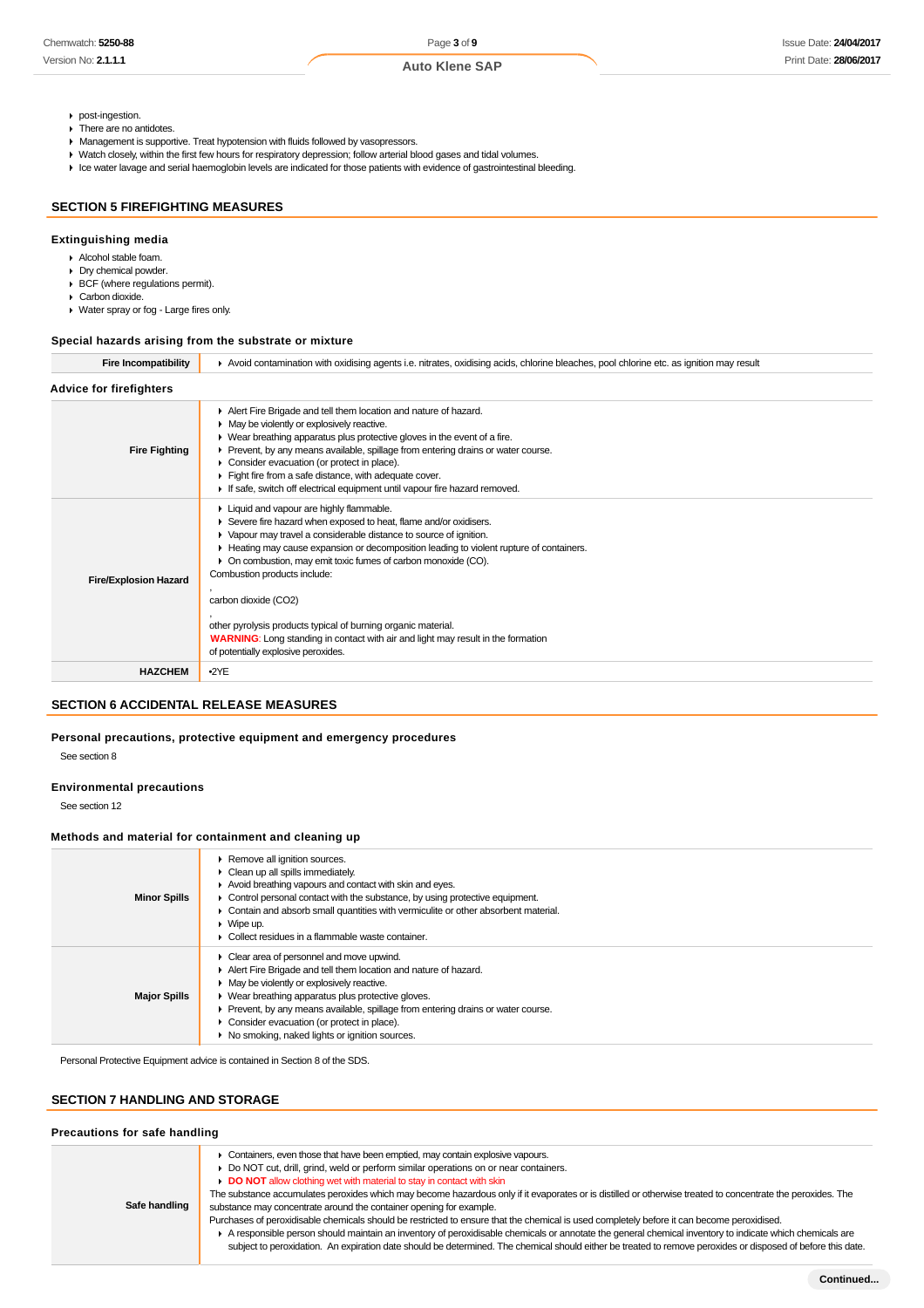- post-ingestion.
- ▶ There are no antidotes.
- Management is supportive. Treat hypotension with fluids followed by vasopressors.
- Watch closely, within the first few hours for respiratory depression; follow arterial blood gases and tidal volumes.
- Ice water lavage and serial haemoglobin levels are indicated for those patients with evidence of gastrointestinal bleeding.

# **SECTION 5 FIREFIGHTING MEASURES**

#### **Extinguishing media**

- Alcohol stable foam.
- Dry chemical powder.
- BCF (where regulations permit).
- Carbon dioxide. Water spray or fog - Large fires only.

## **Special hazards arising from the substrate or mixture**

| <b>Fire Incompatibility</b>    | Avoid contamination with oxidising agents i.e. nitrates, oxidising acids, chlorine bleaches, pool chlorine etc. as ignition may result                                                                                                                                                                                                                                                                                                                                                                                                                                                                 |
|--------------------------------|--------------------------------------------------------------------------------------------------------------------------------------------------------------------------------------------------------------------------------------------------------------------------------------------------------------------------------------------------------------------------------------------------------------------------------------------------------------------------------------------------------------------------------------------------------------------------------------------------------|
| <b>Advice for firefighters</b> |                                                                                                                                                                                                                                                                                                                                                                                                                                                                                                                                                                                                        |
| <b>Fire Fighting</b>           | Alert Fire Brigade and tell them location and nature of hazard.<br>• May be violently or explosively reactive.<br>$\triangleright$ Wear breathing apparatus plus protective gloves in the event of a fire.<br>► Prevent, by any means available, spillage from entering drains or water course.<br>Consider evacuation (or protect in place).<br>Fight fire from a safe distance, with adequate cover.<br>If safe, switch off electrical equipment until vapour fire hazard removed.                                                                                                                   |
| <b>Fire/Explosion Hazard</b>   | Liquid and vapour are highly flammable.<br>Severe fire hazard when exposed to heat, flame and/or oxidisers.<br>▶ Vapour may travel a considerable distance to source of ignition.<br>Heating may cause expansion or decomposition leading to violent rupture of containers.<br>On combustion, may emit toxic fumes of carbon monoxide (CO).<br>Combustion products include:<br>carbon dioxide (CO2)<br>other pyrolysis products typical of burning organic material.<br><b>WARNING:</b> Long standing in contact with air and light may result in the formation<br>of potentially explosive peroxides. |
| <b>HAZCHEM</b>                 | $-2YE$                                                                                                                                                                                                                                                                                                                                                                                                                                                                                                                                                                                                 |

## **SECTION 6 ACCIDENTAL RELEASE MEASURES**

## **Personal precautions, protective equipment and emergency procedures**

See section 8

## **Environmental precautions**

See section 12

## **Methods and material for containment and cleaning up**

| <b>Minor Spills</b> | ▶ Remove all ignition sources.<br>$\triangleright$ Clean up all spills immediately.<br>Avoid breathing vapours and contact with skin and eyes.<br>$\triangleright$ Control personal contact with the substance, by using protective equipment.<br>• Contain and absorb small quantities with vermiculite or other absorbent material.<br>$\triangleright$ Wipe up.<br>Collect residues in a flammable waste container. |
|---------------------|------------------------------------------------------------------------------------------------------------------------------------------------------------------------------------------------------------------------------------------------------------------------------------------------------------------------------------------------------------------------------------------------------------------------|
| <b>Major Spills</b> | $\triangleright$ Clear area of personnel and move upwind.<br>Alert Fire Brigade and tell them location and nature of hazard.<br>• May be violently or explosively reactive.<br>▶ Wear breathing apparatus plus protective gloves.<br>• Prevent, by any means available, spillage from entering drains or water course.<br>Consider evacuation (or protect in place).<br>No smoking, naked lights or ignition sources.  |

Personal Protective Equipment advice is contained in Section 8 of the SDS.

# **SECTION 7 HANDLING AND STORAGE**

| Precautions for safe handling |                                                                                                                                                                                                                                                                                                                                                                                                                                                                                                                                                                                                                                                                                                                                                                                                                                                                                                                                                                    |  |  |  |
|-------------------------------|--------------------------------------------------------------------------------------------------------------------------------------------------------------------------------------------------------------------------------------------------------------------------------------------------------------------------------------------------------------------------------------------------------------------------------------------------------------------------------------------------------------------------------------------------------------------------------------------------------------------------------------------------------------------------------------------------------------------------------------------------------------------------------------------------------------------------------------------------------------------------------------------------------------------------------------------------------------------|--|--|--|
| Safe handling                 | Containers, even those that have been emptied, may contain explosive vapours.<br>Do NOT cut, drill, grind, weld or perform similar operations on or near containers.<br><b>DO NOT</b> allow clothing wet with material to stay in contact with skin<br>The substance accumulates peroxides which may become hazardous only if it evaporates or is distilled or otherwise treated to concentrate the peroxides. The<br>substance may concentrate around the container opening for example.<br>Purchases of peroxidisable chemicals should be restricted to ensure that the chemical is used completely before it can become peroxidised.<br>A responsible person should maintain an inventory of peroxidisable chemicals or annotate the general chemical inventory to indicate which chemicals are<br>subject to peroxidation. An expiration date should be determined. The chemical should either be treated to remove peroxides or disposed of before this date. |  |  |  |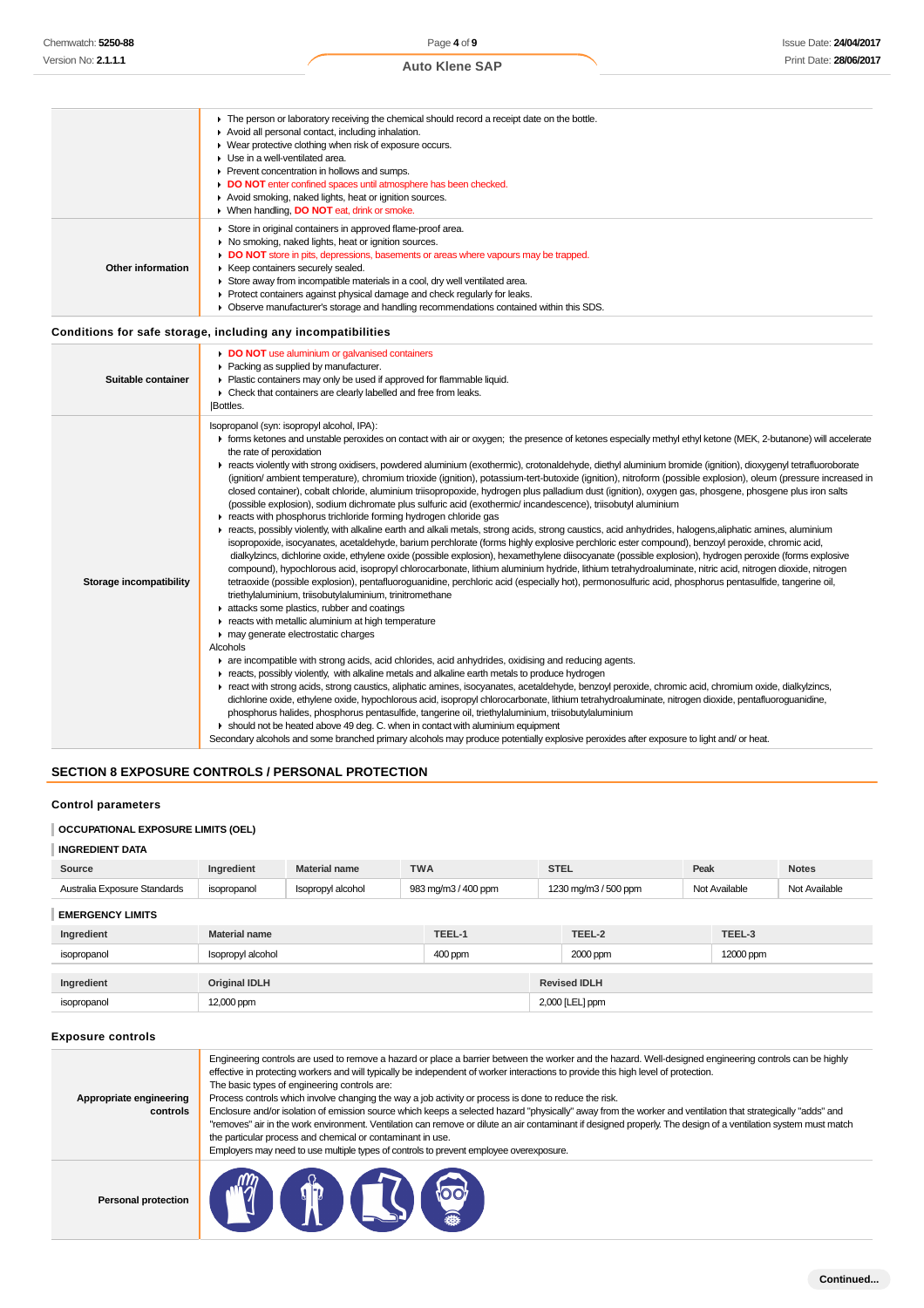|                   | • The person or laboratory receiving the chemical should record a receipt date on the bottle. |
|-------------------|-----------------------------------------------------------------------------------------------|
|                   | Avoid all personal contact, including inhalation.                                             |
|                   | • Wear protective clothing when risk of exposure occurs.                                      |
|                   | $\blacktriangleright$ Use in a well-ventilated area.                                          |
|                   | ▶ Prevent concentration in hollows and sumps.                                                 |
|                   | DO NOT enter confined spaces until atmosphere has been checked.                               |
|                   | Avoid smoking, naked lights, heat or ignition sources.                                        |
|                   | ▶ When handling, DO NOT eat, drink or smoke.                                                  |
|                   | Store in original containers in approved flame-proof area.                                    |
| Other information | • No smoking, naked lights, heat or ignition sources.                                         |
|                   | DO NOT store in pits, depressions, basements or areas where vapours may be trapped.           |
|                   | ▶ Keep containers securely sealed.                                                            |
|                   | Store away from incompatible materials in a cool, dry well ventilated area.                   |
|                   | ▶ Protect containers against physical damage and check regularly for leaks.                   |
|                   | • Observe manufacturer's storage and handling recommendations contained within this SDS.      |
|                   |                                                                                               |
|                   |                                                                                               |

## **Conditions for safe storage, including any incompatibilities**

| Chemwatch: 5250-88                                                                               |                                      |                                                                                                                                                                                                                                                                                                                                                                                                                                              | Page 4 of 9                                                                                                                                                                                                                                                                                                                                                                                                                                                                                                                                                                                                                                                                                                                                                                                                                                                                                                                                                                                                                                                                                                                                                                                                                                                                                                                                                                                                                                                                                                                                                                                                                                                                                                                                                                                                                                                                                                                                                                                                                                                                                                                                                                                                                                                                                                                                                                                                                                                                                                          |                      |               | <b>Issue Date: 24/04/201</b> |  |  |
|--------------------------------------------------------------------------------------------------|--------------------------------------|----------------------------------------------------------------------------------------------------------------------------------------------------------------------------------------------------------------------------------------------------------------------------------------------------------------------------------------------------------------------------------------------------------------------------------------------|----------------------------------------------------------------------------------------------------------------------------------------------------------------------------------------------------------------------------------------------------------------------------------------------------------------------------------------------------------------------------------------------------------------------------------------------------------------------------------------------------------------------------------------------------------------------------------------------------------------------------------------------------------------------------------------------------------------------------------------------------------------------------------------------------------------------------------------------------------------------------------------------------------------------------------------------------------------------------------------------------------------------------------------------------------------------------------------------------------------------------------------------------------------------------------------------------------------------------------------------------------------------------------------------------------------------------------------------------------------------------------------------------------------------------------------------------------------------------------------------------------------------------------------------------------------------------------------------------------------------------------------------------------------------------------------------------------------------------------------------------------------------------------------------------------------------------------------------------------------------------------------------------------------------------------------------------------------------------------------------------------------------------------------------------------------------------------------------------------------------------------------------------------------------------------------------------------------------------------------------------------------------------------------------------------------------------------------------------------------------------------------------------------------------------------------------------------------------------------------------------------------------|----------------------|---------------|------------------------------|--|--|
| Version No: <b>2.1.1.1</b>                                                                       |                                      |                                                                                                                                                                                                                                                                                                                                                                                                                                              | <b>Auto Klene SAP</b>                                                                                                                                                                                                                                                                                                                                                                                                                                                                                                                                                                                                                                                                                                                                                                                                                                                                                                                                                                                                                                                                                                                                                                                                                                                                                                                                                                                                                                                                                                                                                                                                                                                                                                                                                                                                                                                                                                                                                                                                                                                                                                                                                                                                                                                                                                                                                                                                                                                                                                |                      |               | Print Date: 28/06/201        |  |  |
| Other information                                                                                | Use in a well-ventilated area.       | Avoid all personal contact, including inhalation.<br>• Wear protective clothing when risk of exposure occurs.<br>▶ Prevent concentration in hollows and sumps.<br>Avoid smoking, naked lights, heat or ignition sources.<br>▶ When handling, <b>DO NOT</b> eat, drink or smoke.<br>Store in original containers in approved flame-proof area.<br>• No smoking, naked lights, heat or ignition sources.<br>▶ Keep containers securely sealed. | • The person or laboratory receiving the chemical should record a receipt date on the bottle.<br><b>DO NOT</b> enter confined spaces until atmosphere has been checked.<br>DO NOT store in pits, depressions, basements or areas where vapours may be trapped.<br>Store away from incompatible materials in a cool, dry well ventilated area.<br>▶ Protect containers against physical damage and check regularly for leaks.<br>► Observe manufacturer's storage and handling recommendations contained within this SDS.                                                                                                                                                                                                                                                                                                                                                                                                                                                                                                                                                                                                                                                                                                                                                                                                                                                                                                                                                                                                                                                                                                                                                                                                                                                                                                                                                                                                                                                                                                                                                                                                                                                                                                                                                                                                                                                                                                                                                                                             |                      |               |                              |  |  |
| Conditions for safe storage, including any incompatibilities                                     |                                      |                                                                                                                                                                                                                                                                                                                                                                                                                                              |                                                                                                                                                                                                                                                                                                                                                                                                                                                                                                                                                                                                                                                                                                                                                                                                                                                                                                                                                                                                                                                                                                                                                                                                                                                                                                                                                                                                                                                                                                                                                                                                                                                                                                                                                                                                                                                                                                                                                                                                                                                                                                                                                                                                                                                                                                                                                                                                                                                                                                                      |                      |               |                              |  |  |
| Suitable container                                                                               | Bottles.                             | DO NOT use aluminium or galvanised containers<br>▶ Packing as supplied by manufacturer.<br>Plastic containers may only be used if approved for flammable liquid.<br>► Check that containers are clearly labelled and free from leaks.                                                                                                                                                                                                        |                                                                                                                                                                                                                                                                                                                                                                                                                                                                                                                                                                                                                                                                                                                                                                                                                                                                                                                                                                                                                                                                                                                                                                                                                                                                                                                                                                                                                                                                                                                                                                                                                                                                                                                                                                                                                                                                                                                                                                                                                                                                                                                                                                                                                                                                                                                                                                                                                                                                                                                      |                      |               |                              |  |  |
| Storage incompatibility                                                                          | the rate of peroxidation<br>Alcohols | Isopropanol (syn: isopropyl alcohol, IPA):<br>triethylaluminium, triisobutylaluminium, trinitromethane<br>attacks some plastics, rubber and coatings<br>reacts with metallic aluminium at high temperature<br>may generate electrostatic charges                                                                                                                                                                                             | F forms ketones and unstable peroxides on contact with air or oxygen; the presence of ketones especially methyl ethyl ketone (MEK, 2-butanone) will accelerate<br>F reacts violently with strong oxidisers, powdered aluminium (exothermic), crotonaldehyde, diethyl aluminium bromide (ignition), dioxygenyl tetrafluoroborate<br>(ignition/ ambient temperature), chromium trioxide (ignition), potassium-tert-butoxide (ignition), nitroform (possible explosion), oleum (pressure increased in<br>closed container), cobalt chloride, aluminium triisopropoxide, hydrogen plus palladium dust (ignition), oxygen gas, phosgene, phosgene plus iron salts<br>(possible explosion), sodium dichromate plus sulfuric acid (exothermic/ incandescence), triisobutyl aluminium<br>reacts with phosphorus trichloride forming hydrogen chloride gas<br>reacts, possibly violently, with alkaline earth and alkali metals, strong acids, strong caustics, acid anhydrides, halogens,aliphatic amines, aluminium<br>isopropoxide, isocyanates, acetaldehyde, barium perchlorate (forms highly explosive perchloric ester compound), benzoyl peroxide, chromic acid,<br>dialkylzincs, dichlorine oxide, ethylene oxide (possible explosion), hexamethylene diisocyanate (possible explosion), hydrogen peroxide (forms explosive<br>compound), hypochlorous acid, isopropyl chlorocarbonate, lithium aluminium hydride, lithium tetrahydroaluminate, nitric acid, nitrogen dioxide, nitrogen<br>tetraoxide (possible explosion), pentafluoroguanidine, perchloric acid (especially hot), permonosulfuric acid, phosphorus pentasulfide, tangerine oil,<br>are incompatible with strong acids, acid chlorides, acid anhydrides, oxidising and reducing agents.<br>F reacts, possibly violently, with alkaline metals and alkaline earth metals to produce hydrogen<br>F react with strong acids, strong caustics, aliphatic amines, isocyanates, acetaldehyde, benzoyl peroxide, chromic acid, chromium oxide, dialkylzincs,<br>dichlorine oxide, ethylene oxide, hypochlorous acid, isopropyl chlorocarbonate, lithium tetrahydroaluminate, nitrogen dioxide, pentafluoroguanidine,<br>phosphorus halides, phosphorus pentasulfide, tangerine oil, triethylaluminium, triisobutylaluminium<br>► should not be heated above 49 deg. C. when in contact with aluminium equipment<br>Secondary alcohols and some branched primary alcohols may produce potentially explosive peroxides after exposure to light and/ or heat. |                      |               |                              |  |  |
|                                                                                                  |                                      |                                                                                                                                                                                                                                                                                                                                                                                                                                              |                                                                                                                                                                                                                                                                                                                                                                                                                                                                                                                                                                                                                                                                                                                                                                                                                                                                                                                                                                                                                                                                                                                                                                                                                                                                                                                                                                                                                                                                                                                                                                                                                                                                                                                                                                                                                                                                                                                                                                                                                                                                                                                                                                                                                                                                                                                                                                                                                                                                                                                      |                      |               |                              |  |  |
| <b>SECTION 8 EXPOSURE CONTROLS / PERSONAL PROTECTION</b>                                         |                                      |                                                                                                                                                                                                                                                                                                                                                                                                                                              |                                                                                                                                                                                                                                                                                                                                                                                                                                                                                                                                                                                                                                                                                                                                                                                                                                                                                                                                                                                                                                                                                                                                                                                                                                                                                                                                                                                                                                                                                                                                                                                                                                                                                                                                                                                                                                                                                                                                                                                                                                                                                                                                                                                                                                                                                                                                                                                                                                                                                                                      |                      |               |                              |  |  |
| <b>Control parameters</b><br><b>OCCUPATIONAL EXPOSURE LIMITS (OEL)</b><br><b>INGREDIENT DATA</b> |                                      |                                                                                                                                                                                                                                                                                                                                                                                                                                              |                                                                                                                                                                                                                                                                                                                                                                                                                                                                                                                                                                                                                                                                                                                                                                                                                                                                                                                                                                                                                                                                                                                                                                                                                                                                                                                                                                                                                                                                                                                                                                                                                                                                                                                                                                                                                                                                                                                                                                                                                                                                                                                                                                                                                                                                                                                                                                                                                                                                                                                      |                      |               |                              |  |  |
| Source                                                                                           | Ingredient                           | <b>Material name</b>                                                                                                                                                                                                                                                                                                                                                                                                                         | <b>TWA</b>                                                                                                                                                                                                                                                                                                                                                                                                                                                                                                                                                                                                                                                                                                                                                                                                                                                                                                                                                                                                                                                                                                                                                                                                                                                                                                                                                                                                                                                                                                                                                                                                                                                                                                                                                                                                                                                                                                                                                                                                                                                                                                                                                                                                                                                                                                                                                                                                                                                                                                           | <b>STEL</b>          | Peak          | <b>Notes</b>                 |  |  |
| Australia Exposure Standards                                                                     | isopropanol                          | Isopropyl alcohol                                                                                                                                                                                                                                                                                                                                                                                                                            | 983 mg/m3 / 400 ppm                                                                                                                                                                                                                                                                                                                                                                                                                                                                                                                                                                                                                                                                                                                                                                                                                                                                                                                                                                                                                                                                                                                                                                                                                                                                                                                                                                                                                                                                                                                                                                                                                                                                                                                                                                                                                                                                                                                                                                                                                                                                                                                                                                                                                                                                                                                                                                                                                                                                                                  | 1230 mg/m3 / 500 ppm | Not Available | Not Available                |  |  |
| <b>EMERGENCY LIMITS</b>                                                                          |                                      |                                                                                                                                                                                                                                                                                                                                                                                                                                              |                                                                                                                                                                                                                                                                                                                                                                                                                                                                                                                                                                                                                                                                                                                                                                                                                                                                                                                                                                                                                                                                                                                                                                                                                                                                                                                                                                                                                                                                                                                                                                                                                                                                                                                                                                                                                                                                                                                                                                                                                                                                                                                                                                                                                                                                                                                                                                                                                                                                                                                      |                      |               |                              |  |  |
| Ingredient                                                                                       | <b>Material name</b>                 |                                                                                                                                                                                                                                                                                                                                                                                                                                              | TEEL-1                                                                                                                                                                                                                                                                                                                                                                                                                                                                                                                                                                                                                                                                                                                                                                                                                                                                                                                                                                                                                                                                                                                                                                                                                                                                                                                                                                                                                                                                                                                                                                                                                                                                                                                                                                                                                                                                                                                                                                                                                                                                                                                                                                                                                                                                                                                                                                                                                                                                                                               | TEEL-2               | TEEL-3        |                              |  |  |
| isopropanol                                                                                      | Isopropyl alcohol                    |                                                                                                                                                                                                                                                                                                                                                                                                                                              | 400 ppm                                                                                                                                                                                                                                                                                                                                                                                                                                                                                                                                                                                                                                                                                                                                                                                                                                                                                                                                                                                                                                                                                                                                                                                                                                                                                                                                                                                                                                                                                                                                                                                                                                                                                                                                                                                                                                                                                                                                                                                                                                                                                                                                                                                                                                                                                                                                                                                                                                                                                                              | 2000 ppm             | 12000 ppm     |                              |  |  |
| Ingredient                                                                                       | <b>Original IDLH</b>                 |                                                                                                                                                                                                                                                                                                                                                                                                                                              |                                                                                                                                                                                                                                                                                                                                                                                                                                                                                                                                                                                                                                                                                                                                                                                                                                                                                                                                                                                                                                                                                                                                                                                                                                                                                                                                                                                                                                                                                                                                                                                                                                                                                                                                                                                                                                                                                                                                                                                                                                                                                                                                                                                                                                                                                                                                                                                                                                                                                                                      | <b>Revised IDLH</b>  |               |                              |  |  |
| isopropanol                                                                                      | 12,000 ppm<br>2,000 [LEL] ppm        |                                                                                                                                                                                                                                                                                                                                                                                                                                              |                                                                                                                                                                                                                                                                                                                                                                                                                                                                                                                                                                                                                                                                                                                                                                                                                                                                                                                                                                                                                                                                                                                                                                                                                                                                                                                                                                                                                                                                                                                                                                                                                                                                                                                                                                                                                                                                                                                                                                                                                                                                                                                                                                                                                                                                                                                                                                                                                                                                                                                      |                      |               |                              |  |  |
| <b>Exposure controls</b>                                                                         |                                      |                                                                                                                                                                                                                                                                                                                                                                                                                                              |                                                                                                                                                                                                                                                                                                                                                                                                                                                                                                                                                                                                                                                                                                                                                                                                                                                                                                                                                                                                                                                                                                                                                                                                                                                                                                                                                                                                                                                                                                                                                                                                                                                                                                                                                                                                                                                                                                                                                                                                                                                                                                                                                                                                                                                                                                                                                                                                                                                                                                                      |                      |               |                              |  |  |
| Appropriate engineering<br>controls                                                              |                                      | The basic types of engineering controls are:<br>the particular process and chemical or contaminant in use.                                                                                                                                                                                                                                                                                                                                   | Engineering controls are used to remove a hazard or place a barrier between the worker and the hazard. Well-designed engineering controls can be highly<br>effective in protecting workers and will typically be independent of worker interactions to provide this high level of protection.<br>Process controls which involve changing the way a job activity or process is done to reduce the risk.<br>Enclosure and/or isolation of emission source which keeps a selected hazard "physically" away from the worker and ventilation that strategically "adds" and<br>"removes" air in the work environment. Ventilation can remove or dilute an air contaminant if designed properly. The design of a ventilation system must match<br>Employers may need to use multiple types of controls to prevent employee overexposure.                                                                                                                                                                                                                                                                                                                                                                                                                                                                                                                                                                                                                                                                                                                                                                                                                                                                                                                                                                                                                                                                                                                                                                                                                                                                                                                                                                                                                                                                                                                                                                                                                                                                                    |                      |               |                              |  |  |
| <b>Personal protection</b>                                                                       |                                      | 1 7 6                                                                                                                                                                                                                                                                                                                                                                                                                                        |                                                                                                                                                                                                                                                                                                                                                                                                                                                                                                                                                                                                                                                                                                                                                                                                                                                                                                                                                                                                                                                                                                                                                                                                                                                                                                                                                                                                                                                                                                                                                                                                                                                                                                                                                                                                                                                                                                                                                                                                                                                                                                                                                                                                                                                                                                                                                                                                                                                                                                                      |                      |               |                              |  |  |

# **SECTION 8 EXPOSURE CONTROLS / PERSONAL PROTECTION**

## **Control parameters**

## **OCCUPATIONAL EXPOSURE LIMITS (OEL)**

| <b>INGREDIENT DATA</b>       |                                             |                                          |            |         |                      |                 |           |               |               |
|------------------------------|---------------------------------------------|------------------------------------------|------------|---------|----------------------|-----------------|-----------|---------------|---------------|
| Source                       | Ingredient                                  | <b>Material name</b>                     | <b>TWA</b> |         | <b>STEL</b>          |                 | Peak      |               | <b>Notes</b>  |
| Australia Exposure Standards | isopropanol                                 | 983 mg/m3 / 400 ppm<br>Isopropyl alcohol |            |         | 1230 mg/m3 / 500 ppm |                 |           | Not Available | Not Available |
| <b>EMERGENCY LIMITS</b>      |                                             |                                          |            |         |                      |                 |           |               |               |
| Ingredient                   | <b>Material name</b>                        |                                          |            | TEEL-1  |                      | TEEL-2          |           | TEEL-3        |               |
| isopropanol                  | Isopropyl alcohol                           |                                          |            | 400 ppm | 2000 ppm             |                 | 12000 ppm |               |               |
|                              |                                             |                                          |            |         |                      |                 |           |               |               |
| Ingredient                   | <b>Original IDLH</b><br><b>Revised IDLH</b> |                                          |            |         |                      |                 |           |               |               |
| isopropanol                  | 12,000 ppm                                  |                                          |            |         |                      | 2,000 [LEL] ppm |           |               |               |

### **Exposure controls**

| Appropriate engineering<br>controls | Engineering controls are used to remove a hazard or place a barrier between the worker and the hazard. Well-designed engineering controls can be highly<br>effective in protecting workers and will typically be independent of worker interactions to provide this high level of protection.<br>The basic types of engineering controls are:<br>Process controls which involve changing the way a job activity or process is done to reduce the risk.<br>Enclosure and/or isolation of emission source which keeps a selected hazard "physically" away from the worker and ventilation that strategically "adds" and<br>"removes" air in the work environment. Ventilation can remove or dilute an air contaminant if designed properly. The design of a ventilation system must match<br>the particular process and chemical or contaminant in use.<br>Employers may need to use multiple types of controls to prevent employee overexposure. |
|-------------------------------------|-------------------------------------------------------------------------------------------------------------------------------------------------------------------------------------------------------------------------------------------------------------------------------------------------------------------------------------------------------------------------------------------------------------------------------------------------------------------------------------------------------------------------------------------------------------------------------------------------------------------------------------------------------------------------------------------------------------------------------------------------------------------------------------------------------------------------------------------------------------------------------------------------------------------------------------------------|
| Personal protection                 | toot                                                                                                                                                                                                                                                                                                                                                                                                                                                                                                                                                                                                                                                                                                                                                                                                                                                                                                                                            |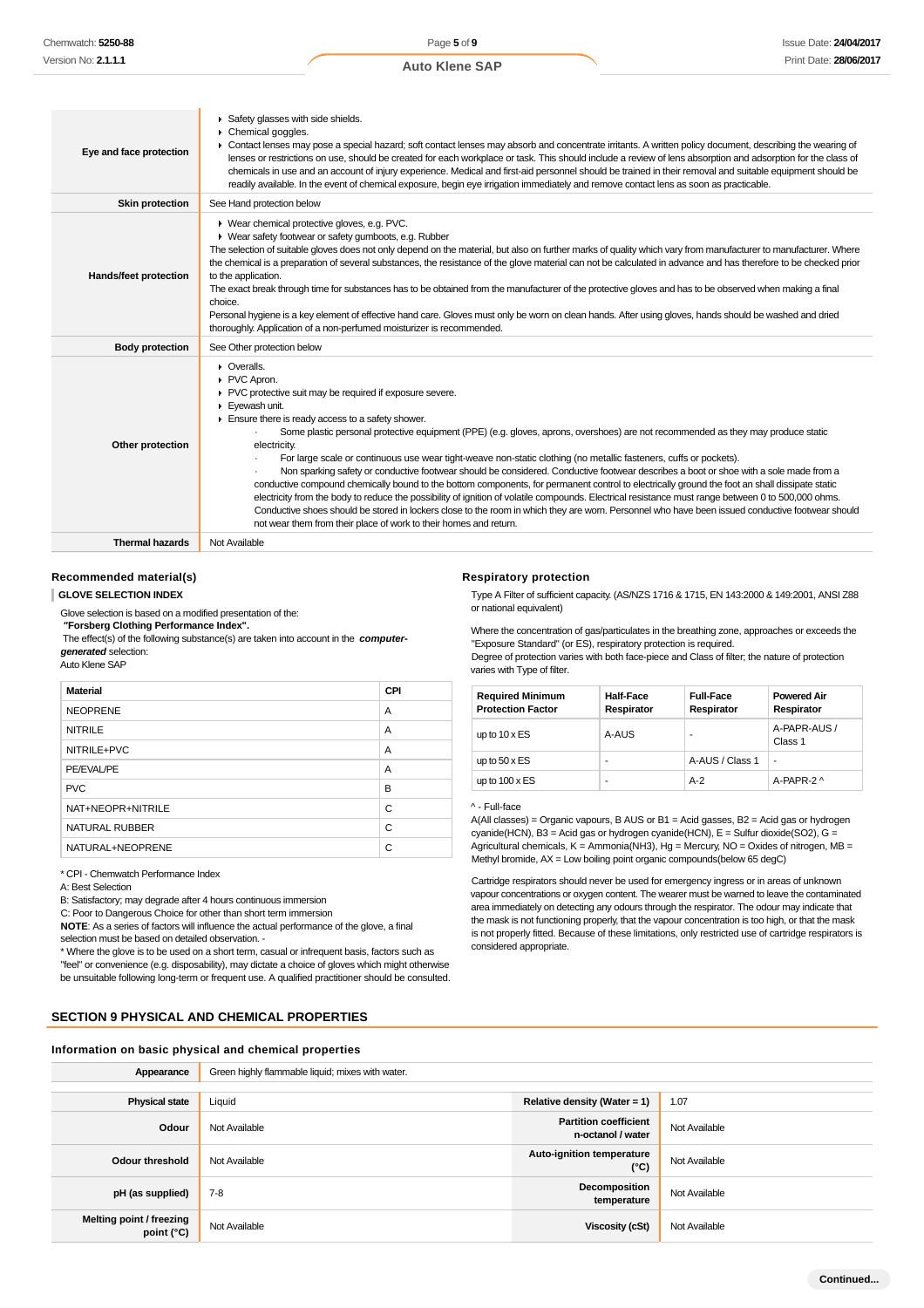| Eye and face protection | Safety glasses with side shields.<br>Chemical goggles.<br>▶ Contact lenses may pose a special hazard; soft contact lenses may absorb and concentrate irritants. A written policy document, describing the wearing of<br>lenses or restrictions on use, should be created for each workplace or task. This should include a review of lens absorption and adsorption for the class of<br>chemicals in use and an account of injury experience. Medical and first-aid personnel should be trained in their removal and suitable equipment should be<br>readily available. In the event of chemical exposure, begin eye irrigation immediately and remove contact lens as soon as practicable.                                                                                                                                                                                                                                                                                                                                                                                                                                 |
|-------------------------|-----------------------------------------------------------------------------------------------------------------------------------------------------------------------------------------------------------------------------------------------------------------------------------------------------------------------------------------------------------------------------------------------------------------------------------------------------------------------------------------------------------------------------------------------------------------------------------------------------------------------------------------------------------------------------------------------------------------------------------------------------------------------------------------------------------------------------------------------------------------------------------------------------------------------------------------------------------------------------------------------------------------------------------------------------------------------------------------------------------------------------|
| <b>Skin protection</b>  | See Hand protection below                                                                                                                                                                                                                                                                                                                                                                                                                                                                                                                                                                                                                                                                                                                                                                                                                                                                                                                                                                                                                                                                                                   |
| Hands/feet protection   | ▶ Wear chemical protective gloves, e.g. PVC.<br>▶ Wear safety footwear or safety gumboots, e.g. Rubber<br>The selection of suitable gloves does not only depend on the material, but also on further marks of quality which vary from manufacturer to manufacturer. Where<br>the chemical is a preparation of several substances, the resistance of the glove material can not be calculated in advance and has therefore to be checked prior<br>to the application.<br>The exact break through time for substances has to be obtained from the manufacturer of the protective gloves and has to be observed when making a final<br>choice.<br>Personal hygiene is a key element of effective hand care. Gloves must only be worn on clean hands. After using gloves, hands should be washed and dried<br>thoroughly. Application of a non-perfumed moisturizer is recommended.                                                                                                                                                                                                                                             |
| <b>Body protection</b>  | See Other protection below                                                                                                                                                                                                                                                                                                                                                                                                                                                                                                                                                                                                                                                                                                                                                                                                                                                                                                                                                                                                                                                                                                  |
| Other protection        | $\triangleright$ Overalls.<br>PVC Apron.<br>PVC protective suit may be required if exposure severe.<br>Eyewash unit.<br>Ensure there is ready access to a safety shower.<br>Some plastic personal protective equipment (PPE) (e.g. gloves, aprons, overshoes) are not recommended as they may produce static<br>electricity.<br>For large scale or continuous use wear tight-weave non-static clothing (no metallic fasteners, cuffs or pockets).<br>Non sparking safety or conductive footwear should be considered. Conductive footwear describes a boot or shoe with a sole made from a<br>conductive compound chemically bound to the bottom components, for permanent control to electrically ground the foot an shall dissipate static<br>electricity from the body to reduce the possibility of ignition of volatile compounds. Electrical resistance must range between 0 to 500,000 ohms.<br>Conductive shoes should be stored in lockers close to the room in which they are worn. Personnel who have been issued conductive footwear should<br>not wear them from their place of work to their homes and return. |
| <b>Thermal hazards</b>  | Not Available                                                                                                                                                                                                                                                                                                                                                                                                                                                                                                                                                                                                                                                                                                                                                                                                                                                                                                                                                                                                                                                                                                               |

#### **Recommended material(s)**

**GLOVE SELECTION INDEX**

Glove selection is based on a modified presentation of the:  **"Forsberg Clothing Performance Index".** The effect(s) of the following substance(s) are taken into account in the **computer-**

**generated** selection: Auto Klene SAP

| <b>Material</b>   | CPI |
|-------------------|-----|
| <b>NEOPRENE</b>   | A   |
| <b>NITRILE</b>    | A   |
| NITRILE+PVC       | A   |
| PE/EVAL/PE        | A   |
| <b>PVC</b>        | B   |
| NAT+NEOPR+NITRILE | C   |
| NATURAL RUBBER    | C   |
| NATURAL+NEOPRENE  | C   |

\* CPI - Chemwatch Performance Index

A: Best Selection

B: Satisfactory; may degrade after 4 hours continuous immersion

C: Poor to Dangerous Choice for other than short term immersion **NOTE**: As a series of factors will influence the actual performance of the glove, a final

selection must be based on detailed observation. -

\* Where the glove is to be used on a short term, casual or infrequent basis, factors such as "feel" or convenience (e.g. disposability), may dictate a choice of gloves which might otherwise be unsuitable following long-term or frequent use. A qualified practitioner should be consulted.

## **SECTION 9 PHYSICAL AND CHEMICAL PROPERTIES**

#### **Information on basic physical and chemical properties**

#### **Respiratory protection**

Type A Filter of sufficient capacity. (AS/NZS 1716 & 1715, EN 143:2000 & 149:2001, ANSI Z88 or national equivalent)

Where the concentration of gas/particulates in the breathing zone, approaches or exceeds the "Exposure Standard" (or ES), respiratory protection is required.

Degree of protection varies with both face-piece and Class of filter; the nature of protection varies with Type of filter.

| <b>Required Minimum</b><br><b>Protection Factor</b> | <b>Half-Face</b><br>Respirator | <b>Full-Face</b><br>Respirator | <b>Powered Air</b><br>Respirator |  |
|-----------------------------------------------------|--------------------------------|--------------------------------|----------------------------------|--|
| up to $10 \times ES$                                | A-AUS                          |                                | A-PAPR-AUS /<br>Class 1          |  |
| up to $50 \times ES$                                |                                | A-AUS / Class 1                | ٠                                |  |
| up to $100 \times ES$                               |                                | $A-2$                          | A-PAPR-2 ^                       |  |

^ - Full-face

A(All classes) = Organic vapours, B AUS or B1 = Acid gasses, B2 = Acid gas or hydrogen cyanide(HCN), B3 = Acid gas or hydrogen cyanide(HCN), E = Sulfur dioxide(SO2), G = Agricultural chemicals,  $K =$  Ammonia(NH3), Hg = Mercury, NO = Oxides of nitrogen, MB = Methyl bromide, AX = Low boiling point organic compounds(below 65 degC)

Cartridge respirators should never be used for emergency ingress or in areas of unknown vapour concentrations or oxygen content. The wearer must be warned to leave the contaminated area immediately on detecting any odours through the respirator. The odour may indicate that the mask is not functioning properly, that the vapour concentration is too high, or that the mask is not properly fitted. Because of these limitations, only restricted use of cartridge respirators is considered appropriate.

| Appearance                                    | Green highly flammable liquid; mixes with water. |                                                   |               |  |  |
|-----------------------------------------------|--------------------------------------------------|---------------------------------------------------|---------------|--|--|
|                                               |                                                  |                                                   |               |  |  |
| <b>Physical state</b>                         | Liquid                                           | Relative density (Water = $1$ )                   | 1.07          |  |  |
| Odour                                         | Not Available                                    | <b>Partition coefficient</b><br>n-octanol / water | Not Available |  |  |
| <b>Odour threshold</b>                        | Not Available                                    | Auto-ignition temperature<br>$(^{\circ}C)$        | Not Available |  |  |
| pH (as supplied)                              | $7-8$                                            | Decomposition<br>temperature                      | Not Available |  |  |
| <b>Melting point / freezing</b><br>point (°C) | Not Available                                    | <b>Viscosity (cSt)</b>                            | Not Available |  |  |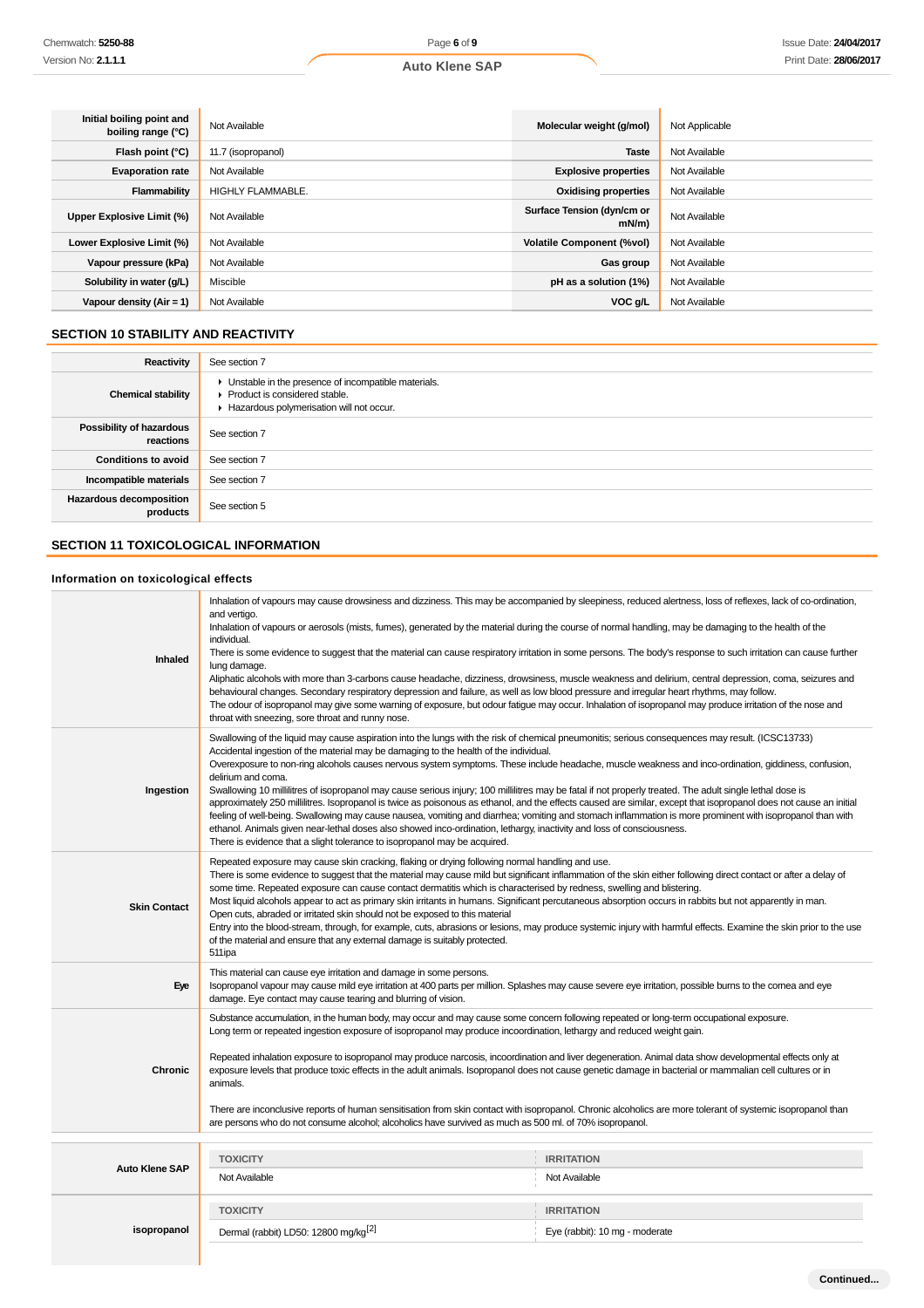| Initial boiling point and<br>boiling range (°C) | Not Available            | Molecular weight (g/mol)               | Not Applicable |
|-------------------------------------------------|--------------------------|----------------------------------------|----------------|
| Flash point (°C)                                | 11.7 (isopropanol)       | <b>Taste</b>                           | Not Available  |
| <b>Evaporation rate</b>                         | Not Available            | <b>Explosive properties</b>            | Not Available  |
| Flammability                                    | <b>HIGHLY FLAMMABLE.</b> | <b>Oxidising properties</b>            | Not Available  |
| Upper Explosive Limit (%)                       | Not Available            | Surface Tension (dyn/cm or<br>$mN/m$ ) | Not Available  |
| Lower Explosive Limit (%)                       | Not Available            | <b>Volatile Component (%vol)</b>       | Not Available  |
| Vapour pressure (kPa)                           | Not Available            | Gas group                              | Not Available  |
| Solubility in water (g/L)                       | Miscible                 | pH as a solution (1%)                  | Not Available  |
| Vapour density $(Air = 1)$                      | Not Available            | VOC g/L                                | Not Available  |

# **SECTION 10 STABILITY AND REACTIVITY**

| Reactivity                                 | See section 7                                                                                                                        |
|--------------------------------------------|--------------------------------------------------------------------------------------------------------------------------------------|
| <b>Chemical stability</b>                  | • Unstable in the presence of incompatible materials.<br>▶ Product is considered stable.<br>Hazardous polymerisation will not occur. |
| Possibility of hazardous<br>reactions      | See section 7                                                                                                                        |
| <b>Conditions to avoid</b>                 | See section 7                                                                                                                        |
| Incompatible materials                     | See section 7                                                                                                                        |
| <b>Hazardous decomposition</b><br>products | See section 5                                                                                                                        |

## **SECTION 11 TOXICOLOGICAL INFORMATION**

## **Information on toxicological effects**

| Inhaled               | and vertigo.<br>Inhalation of vapours or aerosols (mists, fumes), generated by the material during the course of normal handling, may be damaging to the health of the<br>individual.<br>lung damage.<br>behavioural changes. Secondary respiratory depression and failure, as well as low blood pressure and irregular heart rhythms, may follow.<br>The odour of isopropanol may give some warning of exposure, but odour fatigue may occur. Inhalation of isopropanol may produce irritation of the nose and<br>throat with sneezing, sore throat and runny nose.                                                                                                                                                                                                                                                                                                                                                                                                                                                                                                                                                         | Inhalation of vapours may cause drowsiness and dizziness. This may be accompanied by sleepiness, reduced alertness, loss of reflexes, lack of co-ordination,<br>There is some evidence to suggest that the material can cause respiratory irritation in some persons. The body's response to such irritation can cause further<br>Aliphatic alcohols with more than 3-carbons cause headache, dizziness, drowsiness, muscle weakness and delirium, central depression, coma, seizures and |
|-----------------------|------------------------------------------------------------------------------------------------------------------------------------------------------------------------------------------------------------------------------------------------------------------------------------------------------------------------------------------------------------------------------------------------------------------------------------------------------------------------------------------------------------------------------------------------------------------------------------------------------------------------------------------------------------------------------------------------------------------------------------------------------------------------------------------------------------------------------------------------------------------------------------------------------------------------------------------------------------------------------------------------------------------------------------------------------------------------------------------------------------------------------|-------------------------------------------------------------------------------------------------------------------------------------------------------------------------------------------------------------------------------------------------------------------------------------------------------------------------------------------------------------------------------------------------------------------------------------------------------------------------------------------|
| Ingestion             | Swallowing of the liquid may cause aspiration into the lungs with the risk of chemical pneumonitis; serious consequences may result. (ICSC13733)<br>Accidental ingestion of the material may be damaging to the health of the individual.<br>Overexposure to non-ring alcohols causes nervous system symptoms. These include headache, muscle weakness and inco-ordination, giddiness, confusion,<br>delirium and coma.<br>Swallowing 10 millilitres of isopropanol may cause serious injury; 100 millilitres may be fatal if not properly treated. The adult single lethal dose is<br>approximately 250 millilitres. Isopropanol is twice as poisonous as ethanol, and the effects caused are similar, except that isopropanol does not cause an initial<br>feeling of well-being. Swallowing may cause nausea, vomiting and diarrhea; vomiting and stomach inflammation is more prominent with isopropanol than with<br>ethanol. Animals given near-lethal doses also showed inco-ordination, lethargy, inactivity and loss of consciousness.<br>There is evidence that a slight tolerance to isopropanol may be acquired. |                                                                                                                                                                                                                                                                                                                                                                                                                                                                                           |
| <b>Skin Contact</b>   | Repeated exposure may cause skin cracking, flaking or drying following normal handling and use.<br>There is some evidence to suggest that the material may cause mild but significant inflammation of the skin either following direct contact or after a delay of<br>some time. Repeated exposure can cause contact dermatitis which is characterised by redness, swelling and blistering.<br>Most liquid alcohols appear to act as primary skin irritants in humans. Significant percutaneous absorption occurs in rabbits but not apparently in man.<br>Open cuts, abraded or irritated skin should not be exposed to this material<br>Entry into the blood-stream, through, for example, cuts, abrasions or lesions, may produce systemic injury with harmful effects. Examine the skin prior to the use<br>of the material and ensure that any external damage is suitably protected.<br>511ipa                                                                                                                                                                                                                         |                                                                                                                                                                                                                                                                                                                                                                                                                                                                                           |
| Eye                   | This material can cause eye irritation and damage in some persons.<br>Isopropanol vapour may cause mild eye irritation at 400 parts per million. Splashes may cause severe eye irritation, possible burns to the cornea and eye<br>damage. Eye contact may cause tearing and blurring of vision.                                                                                                                                                                                                                                                                                                                                                                                                                                                                                                                                                                                                                                                                                                                                                                                                                             |                                                                                                                                                                                                                                                                                                                                                                                                                                                                                           |
| Chronic               | Substance accumulation, in the human body, may occur and may cause some concern following repeated or long-term occupational exposure.<br>Long term or repeated ingestion exposure of isopropanol may produce incoordination, lethargy and reduced weight gain.<br>Repeated inhalation exposure to isopropanol may produce narcosis, incoordination and liver degeneration. Animal data show developmental effects only at<br>exposure levels that produce toxic effects in the adult animals. Isopropanol does not cause genetic damage in bacterial or mammalian cell cultures or in<br>animals.<br>There are inconclusive reports of human sensitisation from skin contact with isopropanol. Chronic alcoholics are more tolerant of systemic isopropanol than<br>are persons who do not consume alcohol; alcoholics have survived as much as 500 ml. of 70% isopropanol.                                                                                                                                                                                                                                                 |                                                                                                                                                                                                                                                                                                                                                                                                                                                                                           |
|                       | <b>TOXICITY</b>                                                                                                                                                                                                                                                                                                                                                                                                                                                                                                                                                                                                                                                                                                                                                                                                                                                                                                                                                                                                                                                                                                              | <b>IRRITATION</b>                                                                                                                                                                                                                                                                                                                                                                                                                                                                         |
| <b>Auto Klene SAP</b> | Not Available                                                                                                                                                                                                                                                                                                                                                                                                                                                                                                                                                                                                                                                                                                                                                                                                                                                                                                                                                                                                                                                                                                                | Not Available                                                                                                                                                                                                                                                                                                                                                                                                                                                                             |
| isopropanol           | <b>TOXICITY</b><br>Dermal (rabbit) LD50: 12800 mg/kg <sup>[2]</sup>                                                                                                                                                                                                                                                                                                                                                                                                                                                                                                                                                                                                                                                                                                                                                                                                                                                                                                                                                                                                                                                          | <b>IRRITATION</b><br>Eye (rabbit): 10 mg - moderate                                                                                                                                                                                                                                                                                                                                                                                                                                       |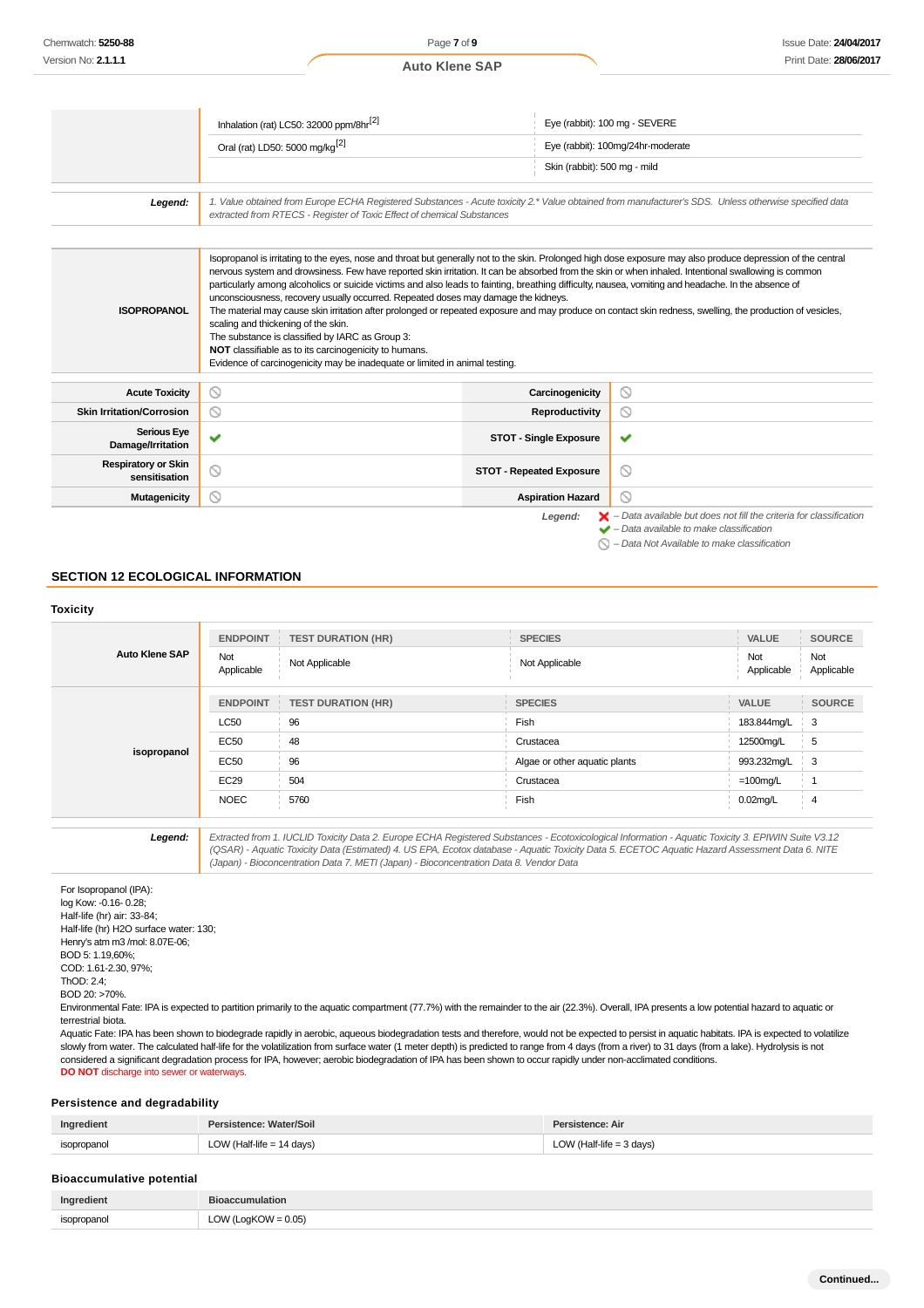|                                             | Inhalation (rat) LC50: 32000 ppm/8hr <sup>[2]</sup>                                                                                                                                                                                                                                                                                                                                                                                                                                                                                                                                                                                                                                                                                                                                                                                                                                                                                                                |                                 | Eye (rabbit): 100 mg - SEVERE                                                                                                                                                                            |
|---------------------------------------------|--------------------------------------------------------------------------------------------------------------------------------------------------------------------------------------------------------------------------------------------------------------------------------------------------------------------------------------------------------------------------------------------------------------------------------------------------------------------------------------------------------------------------------------------------------------------------------------------------------------------------------------------------------------------------------------------------------------------------------------------------------------------------------------------------------------------------------------------------------------------------------------------------------------------------------------------------------------------|---------------------------------|----------------------------------------------------------------------------------------------------------------------------------------------------------------------------------------------------------|
|                                             | Oral (rat) LD50: 5000 mg/kg <sup>[2]</sup>                                                                                                                                                                                                                                                                                                                                                                                                                                                                                                                                                                                                                                                                                                                                                                                                                                                                                                                         |                                 | Eye (rabbit): 100mg/24hr-moderate                                                                                                                                                                        |
|                                             |                                                                                                                                                                                                                                                                                                                                                                                                                                                                                                                                                                                                                                                                                                                                                                                                                                                                                                                                                                    | Skin (rabbit): 500 mg - mild    |                                                                                                                                                                                                          |
| Legend:                                     | 1. Value obtained from Europe ECHA Registered Substances - Acute toxicity 2.* Value obtained from manufacturer's SDS. Unless otherwise specified data<br>extracted from RTECS - Register of Toxic Effect of chemical Substances                                                                                                                                                                                                                                                                                                                                                                                                                                                                                                                                                                                                                                                                                                                                    |                                 |                                                                                                                                                                                                          |
|                                             |                                                                                                                                                                                                                                                                                                                                                                                                                                                                                                                                                                                                                                                                                                                                                                                                                                                                                                                                                                    |                                 |                                                                                                                                                                                                          |
| <b>ISOPROPANOL</b>                          | Isopropanol is irritating to the eyes, nose and throat but generally not to the skin. Prolonged high dose exposure may also produce depression of the central<br>nervous system and drowsiness. Few have reported skin irritation. It can be absorbed from the skin or when inhaled. Intentional swallowing is common<br>particularly among alcoholics or suicide victims and also leads to fainting, breathing difficulty, nausea, vomiting and headache. In the absence of<br>unconsciousness, recovery usually occurred. Repeated doses may damage the kidneys.<br>The material may cause skin irritation after prolonged or repeated exposure and may produce on contact skin redness, swelling, the production of vesicles,<br>scaling and thickening of the skin.<br>The substance is classified by IARC as Group 3:<br>NOT classifiable as to its carcinogenicity to humans.<br>Evidence of carcinogenicity may be inadequate or limited in animal testing. |                                 |                                                                                                                                                                                                          |
| <b>Acute Toxicity</b>                       | ⊚                                                                                                                                                                                                                                                                                                                                                                                                                                                                                                                                                                                                                                                                                                                                                                                                                                                                                                                                                                  | Carcinogenicity                 | $\circ$                                                                                                                                                                                                  |
| <b>Skin Irritation/Corrosion</b>            | ல                                                                                                                                                                                                                                                                                                                                                                                                                                                                                                                                                                                                                                                                                                                                                                                                                                                                                                                                                                  | Reproductivity                  | $\circledcirc$                                                                                                                                                                                           |
| <b>Serious Eye</b><br>Damage/Irritation     | v                                                                                                                                                                                                                                                                                                                                                                                                                                                                                                                                                                                                                                                                                                                                                                                                                                                                                                                                                                  | <b>STOT - Single Exposure</b>   | ✔                                                                                                                                                                                                        |
| <b>Respiratory or Skin</b><br>sensitisation | ⊚                                                                                                                                                                                                                                                                                                                                                                                                                                                                                                                                                                                                                                                                                                                                                                                                                                                                                                                                                                  | <b>STOT - Repeated Exposure</b> | $\circledcirc$                                                                                                                                                                                           |
| <b>Mutagenicity</b>                         | ര                                                                                                                                                                                                                                                                                                                                                                                                                                                                                                                                                                                                                                                                                                                                                                                                                                                                                                                                                                  | <b>Aspiration Hazard</b>        | $\circ$                                                                                                                                                                                                  |
|                                             |                                                                                                                                                                                                                                                                                                                                                                                                                                                                                                                                                                                                                                                                                                                                                                                                                                                                                                                                                                    | Legend:                         | $\blacktriangleright$ - Data available but does not fill the criteria for classification<br>$\blacktriangleright$ - Data available to make classification<br>- Data Not Available to make classification |

#### **SECTION 12 ECOLOGICAL INFORMATION**

|                       | <b>ENDPOINT</b>   | <b>TEST DURATION (HR)</b> | <b>SPECIES</b>                | VALUE             | <b>SOURCE</b>       |
|-----------------------|-------------------|---------------------------|-------------------------------|-------------------|---------------------|
| <b>Auto Klene SAP</b> | Not<br>Applicable | Not Applicable            | Not Applicable                | Not<br>Applicable | Not<br>Applicable   |
| isopropanol           | <b>ENDPOINT</b>   | <b>TEST DURATION (HR)</b> | <b>SPECIES</b>                | VALUE             | <b>SOURCE</b>       |
|                       | <b>LC50</b>       | 96                        | Fish                          | 183.844mg/L       | 3                   |
|                       | <b>EC50</b>       | 48                        | Crustacea                     | 12500mg/L         | 5                   |
|                       | <b>EC50</b>       | 96                        | Algae or other aquatic plants | 993.232mg/L       | ⊦ 3                 |
|                       | <b>EC29</b>       | 504                       | Crustacea                     | $=100$ mg/L       |                     |
|                       | <b>NOEC</b>       | 5760                      | Fish                          | $0.02$ mg/L       | 4<br>$\mathbb{R}^n$ |

**Legend:** Extracted from 1. IUCLID Toxicity Data 2. Europe ECHA Registered Substances - Ecotoxicological Information - Aquatic Toxicity 3. EPIWIN Suite V3.12 (QSAR) - Aquatic Toxicity Data (Estimated) 4. US EPA, Ecotox database - Aquatic Toxicity Data 5. ECETOC Aquatic Hazard Assessment Data 6. NITE (Japan) - Bioconcentration Data 7. METI (Japan) - Bioconcentration Data 8. Vendor Data

For Isopropanol (IPA): log Kow: -0.16- 0.28; Half-life (hr) air: 33-84; Half-life (hr) H2O surface water: 130; Henry's atm m3 /mol: 8.07E-06; BOD 5: 1.19,60%; COD: 1.61-2.30, 97%; ThOD: 2.4; BOD 20: >70%.

Environmental Fate: IPA is expected to partition primarily to the aquatic compartment (77.7%) with the remainder to the air (22.3%). Overall, IPA presents a low potential hazard to aquatic or terrestrial biota.

Aquatic Fate: IPA has been shown to biodegrade rapidly in aerobic, aqueous biodegradation tests and therefore, would not be expected to persist in aquatic habitats. IPA is expected to volatilize slowly from water. The calculated half-life for the volatilization from surface water (1 meter depth) is predicted to range from 4 days (from a river) to 31 days (from a lake). Hydrolysis is not considered a significant degradation process for IPA, however; aerobic biodegradation of IPA has been shown to occur rapidly under non-acclimated conditions. **DO NOT** discharge into sewer or waterways.

## **Persistence and degradability**

| Ingredient  | Persistence: Water/Soil   | Persistence: Air         |
|-------------|---------------------------|--------------------------|
| isopropanol | LOW (Half-life = 14 days) | $'$ (Half-life = 3 days) |
|             |                           |                          |

## **Bioaccumulative potential**

| Ingredient  | <b>Bioaccumulation</b> |
|-------------|------------------------|
| isopropanol | LOW (LogKOW = $0.05$ ) |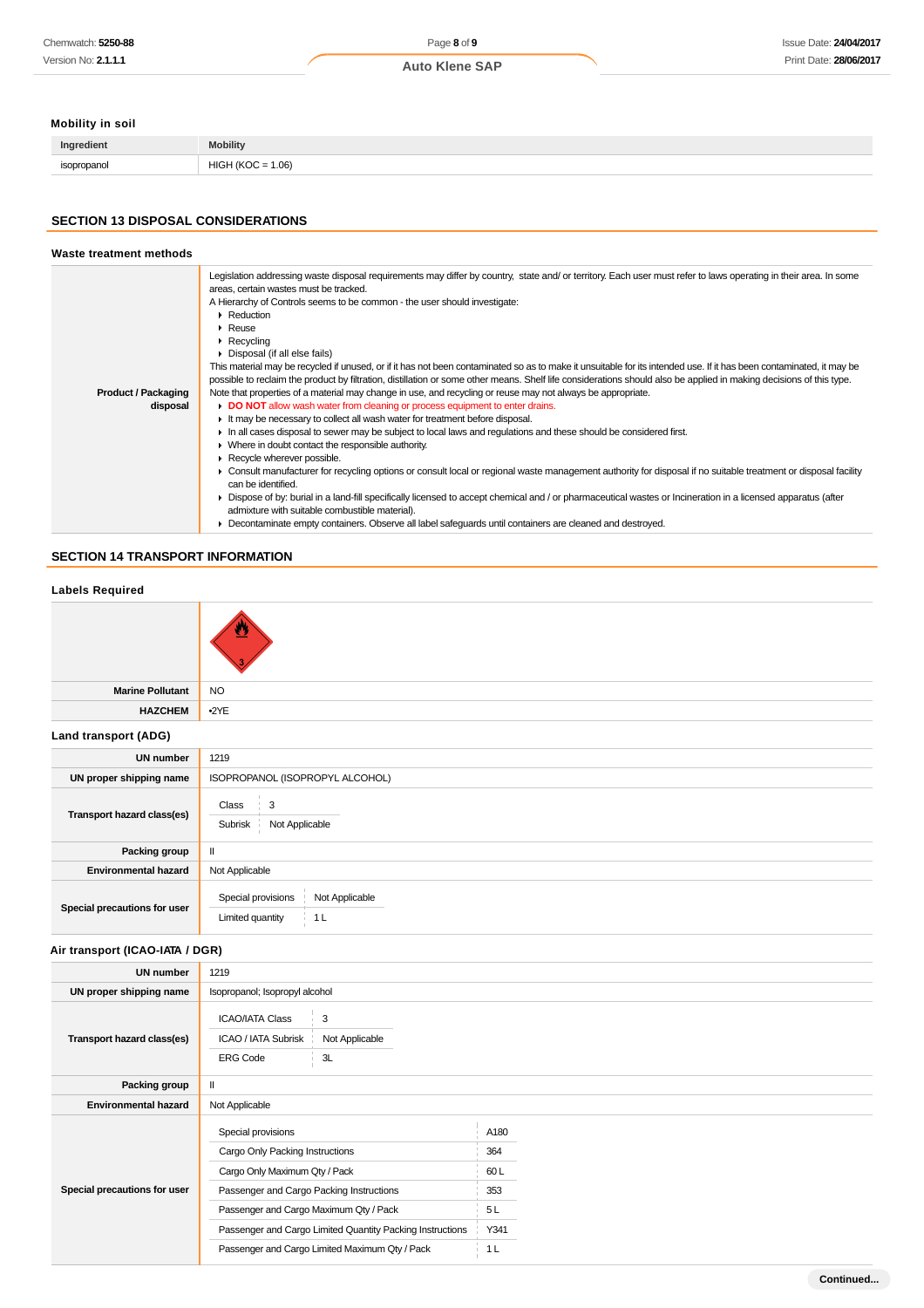# **Mobility in soil**

| Ingredient  | Mobility                       |
|-------------|--------------------------------|
| isopropanol | 1.06<br>HIGF<br>1 I K I<br>. . |
|             |                                |

## **SECTION 13 DISPOSAL CONSIDERATIONS**

| Waste treatment methods                |                                                                                                                                                                                                                                                                                                                                                                                                                                                                                                                                                                                                                                                                                                                                                                                                                                                                                                                                                                                                                                                                                                                                                                                                                                                                                                                                                                                                                                                                                                                                                                                                                                                                                                                                                                                      |
|----------------------------------------|--------------------------------------------------------------------------------------------------------------------------------------------------------------------------------------------------------------------------------------------------------------------------------------------------------------------------------------------------------------------------------------------------------------------------------------------------------------------------------------------------------------------------------------------------------------------------------------------------------------------------------------------------------------------------------------------------------------------------------------------------------------------------------------------------------------------------------------------------------------------------------------------------------------------------------------------------------------------------------------------------------------------------------------------------------------------------------------------------------------------------------------------------------------------------------------------------------------------------------------------------------------------------------------------------------------------------------------------------------------------------------------------------------------------------------------------------------------------------------------------------------------------------------------------------------------------------------------------------------------------------------------------------------------------------------------------------------------------------------------------------------------------------------------|
| <b>Product / Packaging</b><br>disposal | Legislation addressing waste disposal requirements may differ by country, state and/or territory. Each user must refer to laws operating in their area. In some<br>areas, certain wastes must be tracked.<br>A Hierarchy of Controls seems to be common - the user should investigate:<br>$\blacktriangleright$ Reduction<br>$\triangleright$ Reuse<br>$\triangleright$ Recycling<br>• Disposal (if all else fails)<br>This material may be recycled if unused, or if it has not been contaminated so as to make it unsuitable for its intended use. If it has been contaminated, it may be<br>possible to reclaim the product by filtration, distillation or some other means. Shelf life considerations should also be applied in making decisions of this type.<br>Note that properties of a material may change in use, and recycling or reuse may not always be appropriate.<br>• DO NOT allow wash water from cleaning or process equipment to enter drains.<br>It may be necessary to collect all wash water for treatment before disposal.<br>In all cases disposal to sewer may be subject to local laws and regulations and these should be considered first.<br>• Where in doubt contact the responsible authority.<br>Recycle wherever possible.<br>► Consult manufacturer for recycling options or consult local or regional waste management authority for disposal if no suitable treatment or disposal facility<br>can be identified.<br>• Dispose of by: burial in a land-fill specifically licensed to accept chemical and / or pharmaceutical wastes or Incineration in a licensed apparatus (after<br>admixture with suitable combustible material).<br>Decontaminate empty containers. Observe all label safeguards until containers are cleaned and destroyed. |

# **SECTION 14 TRANSPORT INFORMATION**

| <b>Labels Required</b>          |                                                                                                                                                                              |                                 |  |
|---------------------------------|------------------------------------------------------------------------------------------------------------------------------------------------------------------------------|---------------------------------|--|
|                                 |                                                                                                                                                                              |                                 |  |
| <b>Marine Pollutant</b>         | <b>NO</b>                                                                                                                                                                    |                                 |  |
| <b>HAZCHEM</b>                  | $-2YE$                                                                                                                                                                       |                                 |  |
| Land transport (ADG)            |                                                                                                                                                                              |                                 |  |
| <b>UN number</b>                | 1219                                                                                                                                                                         |                                 |  |
| UN proper shipping name         | ISOPROPANOL (ISOPROPYL ALCOHOL)                                                                                                                                              |                                 |  |
| Transport hazard class(es)      | Class<br>3<br>Not Applicable<br>Subrisk                                                                                                                                      |                                 |  |
| Packing group                   | $\mathbf{II}$                                                                                                                                                                |                                 |  |
| <b>Environmental hazard</b>     | Not Applicable                                                                                                                                                               |                                 |  |
| Special precautions for user    | Special provisions<br>Not Applicable<br>1 <sub>L</sub><br>Limited quantity                                                                                                   |                                 |  |
| Air transport (ICAO-IATA / DGR) |                                                                                                                                                                              |                                 |  |
| <b>UN number</b>                | 1219                                                                                                                                                                         |                                 |  |
| UN proper shipping name         | Isopropanol; Isopropyl alcohol                                                                                                                                               |                                 |  |
| Transport hazard class(es)      | $\sqrt{3}$<br><b>ICAO/IATA Class</b><br>ICAO / IATA Subrisk<br>Not Applicable<br><b>ERG Code</b><br>3L                                                                       |                                 |  |
| Packing group                   | $\mathbf{II}$                                                                                                                                                                |                                 |  |
| <b>Environmental hazard</b>     | Not Applicable                                                                                                                                                               |                                 |  |
| Special precautions for user    | Special provisions<br>Cargo Only Packing Instructions<br>Cargo Only Maximum Qty / Pack<br>Passenger and Cargo Packing Instructions<br>Passenger and Cargo Maximum Qty / Pack | A180<br>364<br>60L<br>353<br>5L |  |
|                                 | Passenger and Cargo Limited Quantity Packing Instructions<br>Passenger and Cargo Limited Maximum Qty / Pack                                                                  | Y341<br>1 <sub>L</sub>          |  |